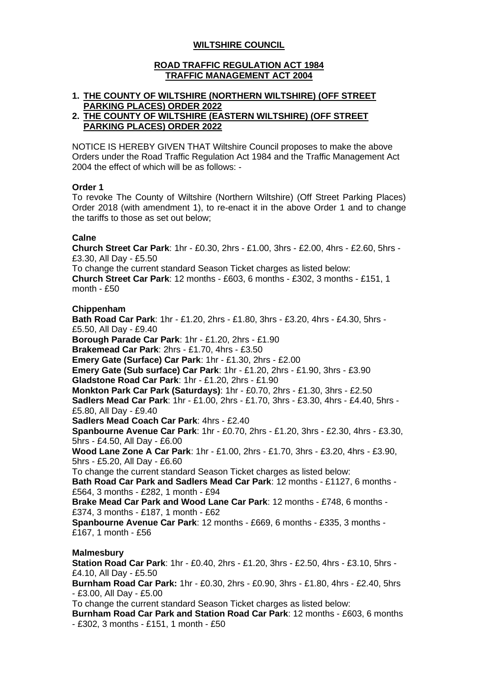# **WILTSHIRE COUNCIL**

### **ROAD TRAFFIC REGULATION ACT 1984 TRAFFIC MANAGEMENT ACT 2004**

# **1. THE COUNTY OF WILTSHIRE (NORTHERN WILTSHIRE) (OFF STREET PARKING PLACES) ORDER 2022**

#### **2. THE COUNTY OF WILTSHIRE (EASTERN WILTSHIRE) (OFF STREET PARKING PLACES) ORDER 2022**

NOTICE IS HEREBY GIVEN THAT Wiltshire Council proposes to make the above Orders under the Road Traffic Regulation Act 1984 and the Traffic Management Act 2004 the effect of which will be as follows: -

### **Order 1**

To revoke The County of Wiltshire (Northern Wiltshire) (Off Street Parking Places) Order 2018 (with amendment 1), to re-enact it in the above Order 1 and to change the tariffs to those as set out below;

### **Calne**

**Church Street Car Park**: 1hr - £0.30, 2hrs - £1.00, 3hrs - £2.00, 4hrs - £2.60, 5hrs - £3.30, All Day - £5.50 To change the current standard Season Ticket charges as listed below: **Church Street Car Park**: 12 months - £603, 6 months - £302, 3 months - £151, 1 month - £50

### **Chippenham**

**Bath Road Car Park**: 1hr - £1.20, 2hrs - £1.80, 3hrs - £3.20, 4hrs - £4.30, 5hrs - £5.50, All Day - £9.40 **Borough Parade Car Park**: 1hr - £1.20, 2hrs - £1.90 **Brakemead Car Park**: 2hrs - £1.70, 4hrs - £3.50 **Emery Gate (Surface) Car Park**: 1hr - £1.30, 2hrs - £2.00 **Emery Gate (Sub surface) Car Park**: 1hr - £1.20, 2hrs - £1.90, 3hrs - £3.90 **Gladstone Road Car Park**: 1hr - £1.20, 2hrs - £1.90 **Monkton Park Car Park (Saturdays)**: 1hr - £0.70, 2hrs - £1.30, 3hrs - £2.50 **Sadlers Mead Car Park**: 1hr - £1.00, 2hrs - £1.70, 3hrs - £3.30, 4hrs - £4.40, 5hrs - £5.80, All Day - £9.40 **Sadlers Mead Coach Car Park**: 4hrs - £2.40 **Spanbourne Avenue Car Park**: 1hr - £0.70, 2hrs - £1.20, 3hrs - £2.30, 4hrs - £3.30, 5hrs - £4.50, All Day - £6.00 **Wood Lane Zone A Car Park**: 1hr - £1.00, 2hrs - £1.70, 3hrs - £3.20, 4hrs - £3.90, 5hrs - £5.20, All Day - £6.60 To change the current standard Season Ticket charges as listed below: **Bath Road Car Park and Sadlers Mead Car Park**: 12 months - £1127, 6 months - £564, 3 months - £282, 1 month - £94 **Brake Mead Car Park and Wood Lane Car Park**: 12 months - £748, 6 months - £374, 3 months - £187, 1 month - £62 **Spanbourne Avenue Car Park**: 12 months - £669, 6 months - £335, 3 months - £167, 1 month - £56 **Malmesbury Station Road Car Park**: 1hr - £0.40, 2hrs - £1.20, 3hrs - £2.50, 4hrs - £3.10, 5hrs - £4.10, All Day - £5.50 **Burnham Road Car Park:** 1hr - £0.30, 2hrs - £0.90, 3hrs - £1.80, 4hrs - £2.40, 5hrs

- £3.00, All Day - £5.00

To change the current standard Season Ticket charges as listed below:

**Burnham Road Car Park and Station Road Car Park**: 12 months - £603, 6 months - £302, 3 months - £151, 1 month - £50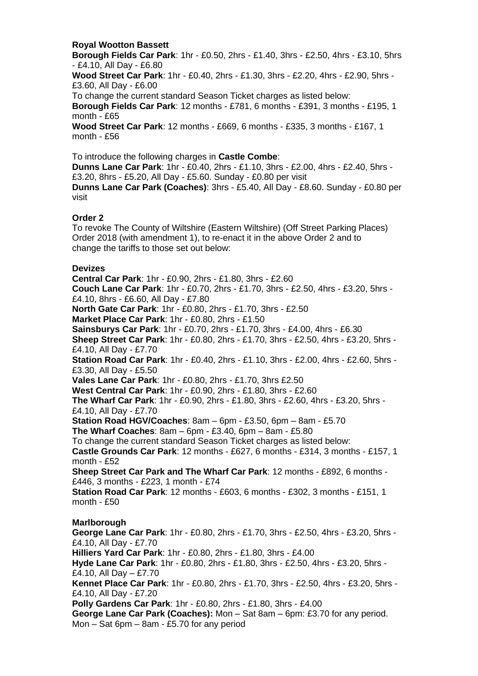## **Royal Wootton Bassett**

**Borough Fields Car Park**: 1hr - £0.50, 2hrs - £1.40, 3hrs - £2.50, 4hrs - £3.10, 5hrs - £4.10, All Day - £6.80 **Wood Street Car Park**: 1hr - £0.40, 2hrs - £1.30, 3hrs - £2.20, 4hrs - £2.90, 5hrs - £3.60, All Day - £6.00 To change the current standard Season Ticket charges as listed below: **Borough Fields Car Park**: 12 months - £781, 6 months - £391, 3 months - £195, 1 month - £65 **Wood Street Car Park**: 12 months - £669, 6 months - £335, 3 months - £167, 1 month - £56

To introduce the following charges in **Castle Combe**: **Dunns Lane Car Park**: 1hr - £0.40, 2hrs - £1.10, 3hrs - £2.00, 4hrs - £2.40, 5hrs - £3.20, 8hrs - £5.20, All Day - £5.60. Sunday - £0.80 per visit **Dunns Lane Car Park (Coaches)**: 3hrs - £5.40, All Day - £8.60. Sunday - £0.80 per visit

## **Order 2**

To revoke The County of Wiltshire (Eastern Wiltshire) (Off Street Parking Places) Order 2018 (with amendment 1), to re-enact it in the above Order 2 and to change the tariffs to those set out below:

### **Devizes**

**Central Car Park**: 1hr - £0.90, 2hrs - £1.80, 3hrs - £2.60 **Couch Lane Car Park**: 1hr - £0.70, 2hrs - £1.70, 3hrs - £2.50, 4hrs - £3.20, 5hrs - £4.10, 8hrs - £6.60, All Day - £7.80 **North Gate Car Park**: 1hr - £0.80, 2hrs - £1.70, 3hrs - £2.50 **Market Place Car Park**: 1hr - £0.80, 2hrs - £1.50 **Sainsburys Car Park**: 1hr - £0.70, 2hrs - £1.70, 3hrs - £4.00, 4hrs - £6.30 **Sheep Street Car Park**: 1hr - £0.80, 2hrs - £1.70, 3hrs - £2.50, 4hrs - £3.20, 5hrs - £4.10, All Day - £7.70 **Station Road Car Park**: 1hr - £0.40, 2hrs - £1.10, 3hrs - £2.00, 4hrs - £2.60, 5hrs - £3.30, All Day - £5.50 **Vales Lane Car Park**: 1hr - £0.80, 2hrs - £1.70, 3hrs £2.50 **West Central Car Park**: 1hr - £0.90, 2hrs - £1.80, 3hrs - £2.60 **The Wharf Car Park**: 1hr - £0.90, 2hrs - £1.80, 3hrs - £2.60, 4hrs - £3.20, 5hrs - £4.10, All Day - £7.70 **Station Road HGV/Coaches**: 8am – 6pm - £3.50, 6pm – 8am - £5.70 **The Wharf Coaches**: 8am – 6pm - £3.40, 6pm – 8am - £5.80 To change the current standard Season Ticket charges as listed below: **Castle Grounds Car Park**: 12 months - £627, 6 months - £314, 3 months - £157, 1 month - £52 **Sheep Street Car Park and The Wharf Car Park**: 12 months - £892, 6 months - £446, 3 months - £223, 1 month - £74 **Station Road Car Park**: 12 months - £603, 6 months - £302, 3 months - £151, 1 month - £50 **Marlborough George Lane Car Park**: 1hr - £0.80, 2hrs - £1.70, 3hrs - £2.50, 4hrs - £3.20, 5hrs - £4.10, All Day - £7.70 **Hilliers Yard Car Park**: 1hr - £0.80, 2hrs - £1.80, 3hrs - £4.00 **Hyde Lane Car Park**: 1hr - £0.80, 2hrs - £1.80, 3hrs - £2.50, 4hrs - £3.20, 5hrs - £4.10, All Day – £7.70 **Kennet Place Car Park**: 1hr - £0.80, 2hrs - £1.70, 3hrs - £2.50, 4hrs - £3.20, 5hrs - £4.10, All Day - £7.20 **Polly Gardens Car Park**: 1hr - £0.80, 2hrs - £1.80, 3hrs - £4.00 **George Lane Car Park (Coaches):** Mon – Sat 8am – 6pm: £3.70 for any period. Mon – Sat 6pm – 8am - £5.70 for any period